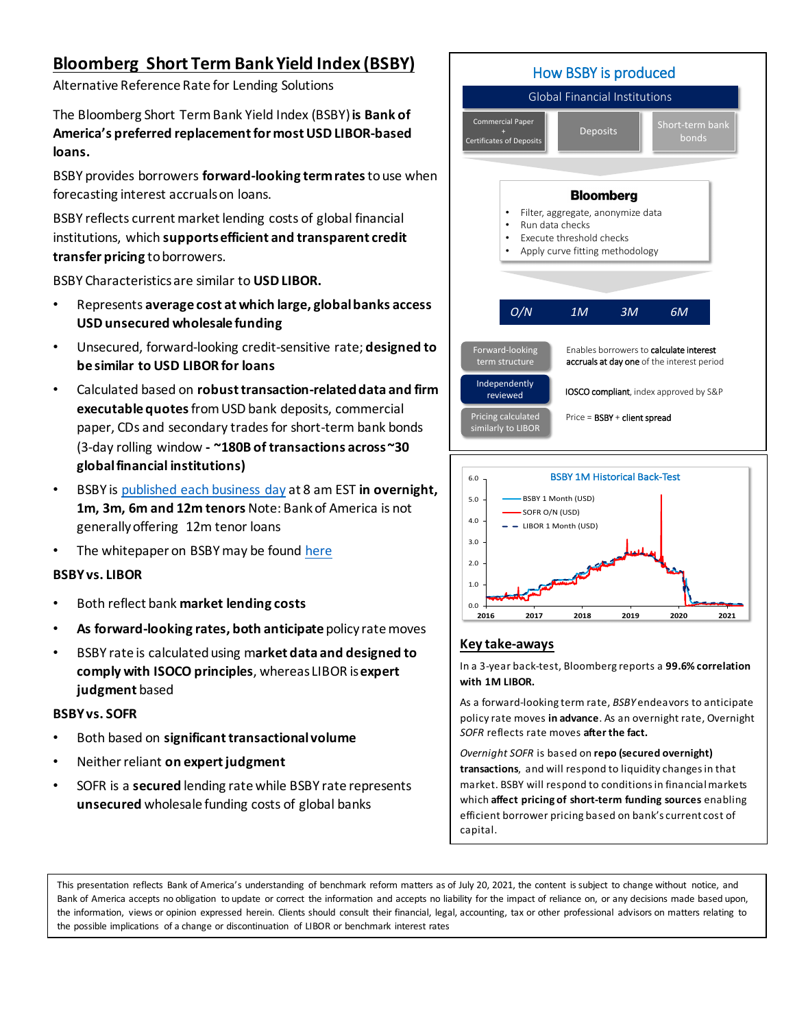## **Bloomberg Short Term Bank Yield Index (BSBY)**

Alternative Reference Rate for Lending Solutions

The Bloomberg Short Term Bank Yield Index (BSBY) **is Bank of America's preferred replacement for most USD LIBOR-based loans.**

BSBY provides borrowers **forward-looking term rates**to use when forecasting interest accruals on loans.

BSBY reflects current market lending costs of global financial institutions, which **supports efficient and transparent credit transfer pricing** to borrowers.

BSBY Characteristics are similar to **USD LIBOR.**

- Represents **average cost at which large, global banks access USD unsecured wholesale funding**
- Unsecured, forward-looking credit-sensitive rate; **designed to be similar to USD LIBOR for loans**
- Calculated based on **robust transaction-related data and firm executable quotes**from USD bank deposits, commercial paper, CDs and secondary trades for short-term bank bonds (3-day rolling window **- ~180B of transactions across ~30 global financial institutions)**
- BSBY i[s published each business day](https://www.bloomberg.com/professional/product/indices/bsby/) at 8 am EST **in overnight, 1m, 3m, 6m and 12m tenors** Note: Bank of America is not generally offering 12m tenor loans
- The whitepaper on BSBY may be foun[d here](https://www.bloomberg.com/professional/download/bloomberg-bsby-report-july-1-2021/?utm_medium=dotcom&utm_source=Annoucement&utm_content=BsbyReportJuly2021)

## **BSBY vs. LIBOR**

- Both reflect bank **market lending costs**
- **As forward-looking rates, both anticipate** policy rate moves
- BSBY rate is calculated using m**arket data and designed to comply with ISOCO principles**, whereas LIBOR is **expert judgment** based

### **BSBY vs. SOFR**

- Both based on **significant transactional volume**
- Neither reliant **on expert judgment**
- SOFR is a **secured** lending rate while BSBY rate represents **unsecured** wholesale funding costs of global banks





## **Key take-aways**

In a 3-year back-test, Bloomberg reports a **99.6% correlation with 1M LIBOR.**

As a forward-looking term rate, *BSBY* endeavors to anticipate policy rate moves **in advance**. As an overnight rate, Overnight *SOFR* reflects rate moves **after the fact.**

*Overnight SOFR* is based on **repo (secured overnight) transactions**, and will respond to liquidity changes in that market. BSBY will respond to conditions in financial markets which **affect pricing of short-term funding sources** enabling efficient borrower pricing based on bank's current cost of capital.

This presentation reflects Bank of America's understanding of benchmark reform matters as of July 20, 2021, the content is subject to change without notice, and Bank of America accepts no obligation to update or correct the information and accepts no liability for the impact of reliance on, or any decisions made based upon, the information, views or opinion expressed herein. Clients should consult their financial, legal, accounting, tax or other professional advisors on matters relating to the possible implications of a change or discontinuation of LIBOR or benchmark interest rates